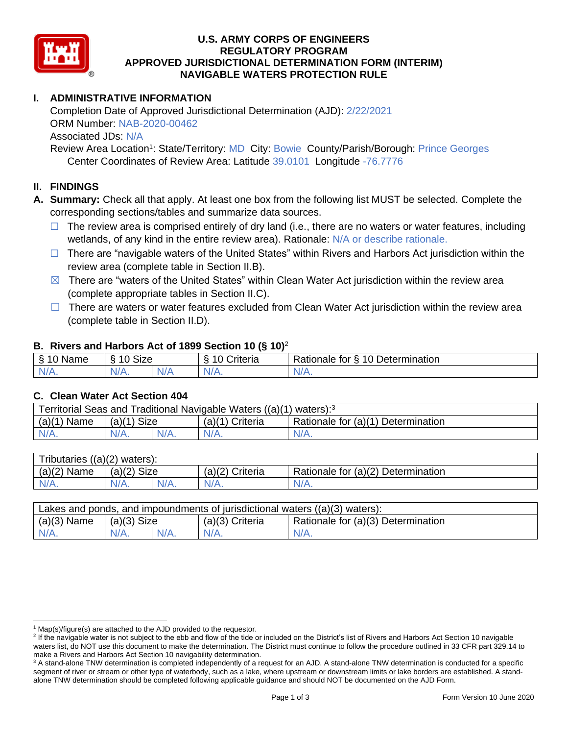

### **U.S. ARMY CORPS OF ENGINEERS REGULATORY PROGRAM APPROVED JURISDICTIONAL DETERMINATION FORM (INTERIM) NAVIGABLE WATERS PROTECTION RULE**

# **I. ADMINISTRATIVE INFORMATION**

Completion Date of Approved Jurisdictional Determination (AJD): 2/22/2021 ORM Number: NAB-2020-00462 Associated JDs: N/A

Review Area Location<sup>1</sup>: State/Territory: MD City: Bowie County/Parish/Borough: Prince Georges Center Coordinates of Review Area: Latitude 39.0101 Longitude -76.7776

#### **II. FINDINGS**

- **A. Summary:** Check all that apply. At least one box from the following list MUST be selected. Complete the corresponding sections/tables and summarize data sources.
	- $\Box$  The review area is comprised entirely of dry land (i.e., there are no waters or water features, including wetlands, of any kind in the entire review area). Rationale: N/A or describe rationale.
	- $\Box$  There are "navigable waters of the United States" within Rivers and Harbors Act jurisdiction within the review area (complete table in Section II.B).
	- $\boxtimes$  There are "waters of the United States" within Clean Water Act jurisdiction within the review area (complete appropriate tables in Section II.C).
	- $\Box$  There are waters or water features excluded from Clean Water Act jurisdiction within the review area (complete table in Section II.D).

#### **B. Rivers and Harbors Act of 1899 Section 10 (§ 10)**<sup>2</sup>

| ξ<br>$\sim$<br>- -- -<br>'vame<br>u<br>$\cdot$ | Size<br>$\sim$<br>c            |     | £<br>`rıteria | $\overline{\phantom{a}}$<br>10<br>-<br>$\overline{\phantom{a}}$<br>. .<br><b>Determination</b><br>tor<br>ationale: |
|------------------------------------------------|--------------------------------|-----|---------------|--------------------------------------------------------------------------------------------------------------------|
| $N/A$ .                                        | N <sub>I</sub><br>$\mathbf{v}$ | N/r | N/A.          | INI.<br><b>MII.</b>                                                                                                |

#### **C. Clean Water Act Section 404**

| Territorial Seas and Traditional Navigable Waters $((a)(1)$ waters): <sup>3</sup> |                |  |                   |                                    |  |
|-----------------------------------------------------------------------------------|----------------|--|-------------------|------------------------------------|--|
| (a)(1)<br>Name                                                                    | Size<br>(a)(1) |  | $(a)(1)$ Criteria | Rationale for (a)(1) Determination |  |
|                                                                                   | $N/A$ .        |  | $N/A$ .           | $N/A$ .                            |  |

| Tributaries $((a)(2)$ waters): |               |  |                 |                                    |  |
|--------------------------------|---------------|--|-----------------|------------------------------------|--|
| $(a)(2)$ Name                  | $(a)(2)$ Size |  | (a)(2) Criteria | Rationale for (a)(2) Determination |  |
| $N/A$ .                        | $N/A$ .       |  | $N/A$ .         | N/A.                               |  |

| Lakes and ponds, and impoundments of jurisdictional waters $((a)(3)$ waters): |               |  |                 |                                    |  |
|-------------------------------------------------------------------------------|---------------|--|-----------------|------------------------------------|--|
| $(a)(3)$ Name                                                                 | $(a)(3)$ Size |  | (a)(3) Criteria | Rationale for (a)(3) Determination |  |
| $N/A$ .                                                                       | $N/A$ .       |  | $N/A$ .         | $N/A$ .                            |  |

 $1$  Map(s)/figure(s) are attached to the AJD provided to the requestor.

<sup>&</sup>lt;sup>2</sup> If the navigable water is not subject to the ebb and flow of the tide or included on the District's list of Rivers and Harbors Act Section 10 navigable waters list, do NOT use this document to make the determination. The District must continue to follow the procedure outlined in 33 CFR part 329.14 to make a Rivers and Harbors Act Section 10 navigability determination.

<sup>&</sup>lt;sup>3</sup> A stand-alone TNW determination is completed independently of a request for an AJD. A stand-alone TNW determination is conducted for a specific segment of river or stream or other type of waterbody, such as a lake, where upstream or downstream limits or lake borders are established. A standalone TNW determination should be completed following applicable guidance and should NOT be documented on the AJD Form.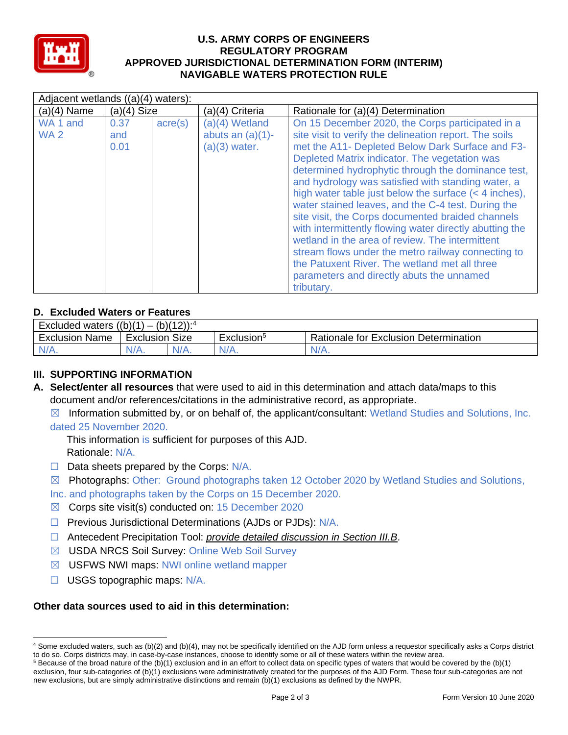

### **U.S. ARMY CORPS OF ENGINEERS REGULATORY PROGRAM APPROVED JURISDICTIONAL DETERMINATION FORM (INTERIM) NAVIGABLE WATERS PROTECTION RULE**

| Adjacent wetlands ((a)(4) waters):     |                     |                  |                                                            |                                                                                                                                                                                                                                                                                                                                                                                                                                                                                                                                                                                                                                                                                                                                                                                   |  |
|----------------------------------------|---------------------|------------------|------------------------------------------------------------|-----------------------------------------------------------------------------------------------------------------------------------------------------------------------------------------------------------------------------------------------------------------------------------------------------------------------------------------------------------------------------------------------------------------------------------------------------------------------------------------------------------------------------------------------------------------------------------------------------------------------------------------------------------------------------------------------------------------------------------------------------------------------------------|--|
| $(a)(4)$ Name                          | $(a)(4)$ Size       |                  | (a)(4) Criteria                                            | Rationale for (a)(4) Determination                                                                                                                                                                                                                                                                                                                                                                                                                                                                                                                                                                                                                                                                                                                                                |  |
| WA <sub>1</sub> and<br>WA <sub>2</sub> | 0.37<br>and<br>0.01 | $\text{acre}(s)$ | $(a)(4)$ Wetland<br>abuts an $(a)(1)$ -<br>$(a)(3)$ water. | On 15 December 2020, the Corps participated in a<br>site visit to verify the delineation report. The soils<br>met the A11- Depleted Below Dark Surface and F3-<br>Depleted Matrix indicator. The vegetation was<br>determined hydrophytic through the dominance test,<br>and hydrology was satisfied with standing water, a<br>high water table just below the surface $(< 4$ inches),<br>water stained leaves, and the C-4 test. During the<br>site visit, the Corps documented braided channels<br>with intermittently flowing water directly abutting the<br>wetland in the area of review. The intermittent<br>stream flows under the metro railway connecting to<br>the Patuxent River. The wetland met all three<br>parameters and directly abuts the unnamed<br>tributary. |  |

## **D. Excluded Waters or Features**

| <b>Excluded waters</b><br>$(h)/4$ $2)$<br>((b)(1))<br>- |                   |         |                        |                                              |
|---------------------------------------------------------|-------------------|---------|------------------------|----------------------------------------------|
| Exclusion<br>Name                                       | Size<br>Exclusion |         | Exclusion <sup>5</sup> | <b>Rationale for Exclusion Determination</b> |
| IV/A.                                                   | N/A.              | $N/A$ . | $N/A$ .                | $N/A$ .                                      |

## **III. SUPPORTING INFORMATION**

**A. Select/enter all resources** that were used to aid in this determination and attach data/maps to this document and/or references/citations in the administrative record, as appropriate.

☒ Information submitted by, or on behalf of, the applicant/consultant: Wetland Studies and Solutions, Inc. dated 25 November 2020.

This information is sufficient for purposes of this AJD. Rationale: N/A.

- $\Box$  Data sheets prepared by the Corps:  $N/A$ .
- ☒ Photographs: Other: Ground photographs taken 12 October 2020 by Wetland Studies and Solutions,

Inc. and photographs taken by the Corps on 15 December 2020.

- ☒ Corps site visit(s) conducted on: 15 December 2020
- ☐ Previous Jurisdictional Determinations (AJDs or PJDs): N/A.
- ☐ Antecedent Precipitation Tool: *provide detailed discussion in Section III.B*.
- ☒ USDA NRCS Soil Survey: Online Web Soil Survey
- ☒ USFWS NWI maps: NWI online wetland mapper
- $\Box$  USGS topographic maps: N/A.

#### **Other data sources used to aid in this determination:**

<sup>4</sup> Some excluded waters, such as (b)(2) and (b)(4), may not be specifically identified on the AJD form unless a requestor specifically asks a Corps district to do so. Corps districts may, in case-by-case instances, choose to identify some or all of these waters within the review area.

 $5$  Because of the broad nature of the (b)(1) exclusion and in an effort to collect data on specific types of waters that would be covered by the (b)(1) exclusion, four sub-categories of (b)(1) exclusions were administratively created for the purposes of the AJD Form. These four sub-categories are not new exclusions, but are simply administrative distinctions and remain (b)(1) exclusions as defined by the NWPR.